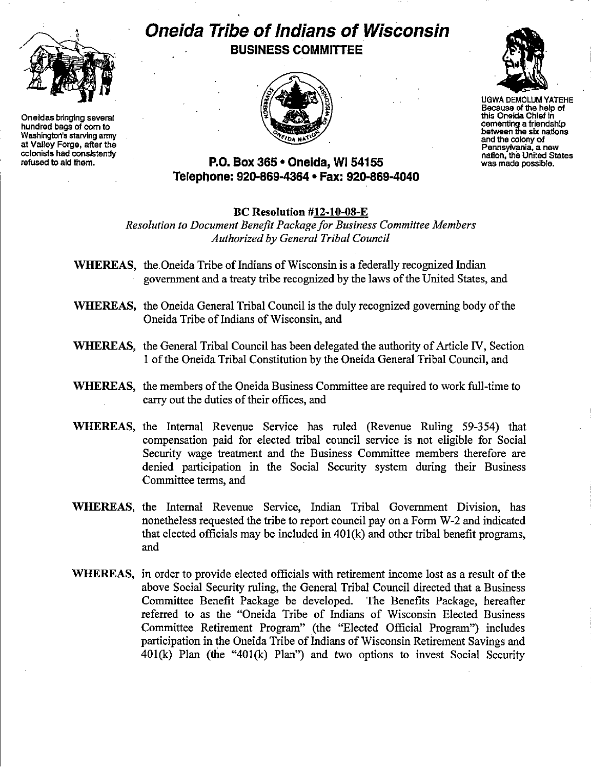

Oneidas bringing several hundred bags of com to Washington's starving army at Valley Forge, after the colonists had consistently refused to aid them.

## **Oneida Tribe of Indians of Wisconsin BUSINESS COMMITTEE**





UGWA DEMOLUM YATEHE Because of the help of this Oneida Chief in cementing a friendship **between the six nations** and the colony of **Pennsylvania. a new** nation, the United States<br>was made possible.

## **P.O. Box 365· Oneida,** WI 54155 **Telephone: 920-869-4364 • Fax: 920-869-4040**

## BC Resolution #12-10-08-E

*Resolution to Document Benefit Package for Business Committee Members Authorized by General Tribal Council*

- WHEREAS, the Oneida Tribe of Indians of Wisconsin is a federally recognized Indian government and a treaty tribe recognized by the laws of the United States, and
- WHEREAS, the Oneida General Tribal Council is the duly recognized governing body of the Oneida Tribe of Indians of Wisconsin, and
- WHEREAS, the General Tribal Council has been delegated the authority of Article IV, Section 1 of the Oneida Tribal Constitution by the Oneida General Tribal Council, and
- WHEREAS, the members of the Oneida Business Committee are required to work full-time to carry out the duties of their offices, and
- WHEREAS, the Internal Revenue Service has ruled (Revenue Ruling 59-354) that compensation paid for elected tribal council service is not eligible for Social Security wage treatment and the Business Committee members therefore are denied participation in the Social Security system during their Business Committee terms, and
- WHEREAS, the Internal Revenue Service, Indian Tribal Government Division, has nonetheless requested the tribe to report council pay on a Form W-2 and indicated that elected officials may be included in  $401(k)$  and other tribal benefit programs, and
- WHEREAS, in order to provide elected officials with retirement income lost as a result of the above Social Security ruling, the General Tribal Council directed that a Business Committee Benefit Package be developed. The Benefits Package, hereafter referred to as the "Oneida Tribe of Indians of Wisconsin Elected Business Committee Retirement Program" (the "Elected Official Program") includes participation in the Oneida Tribe of Indians of Wisconsin Retirement Savings and 401(k) Plan (the "401(k) Plan") and two options to invest Social Security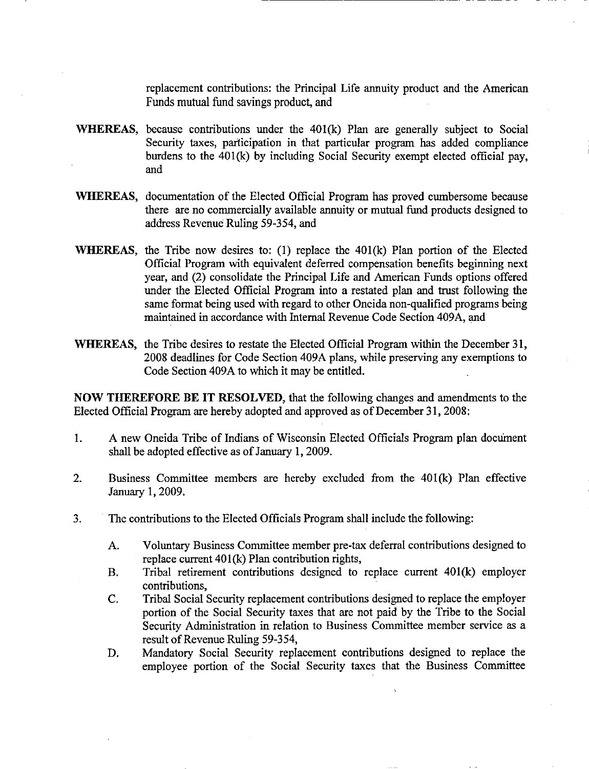replacement contributions: the Principal Life annuity product and the American Funds mutual fund savings product, and

------------- ----------

- WHEREAS, because contributions under the 40I(k) Plan are generally subject to Social Security taxes, participation in that particular program has added compliance burdens to the 40I(k) by including Social Security exempt elected official pay, and
- WHEREAS, documentation of the Elected Official Program has proved cumbersome because there are no commercially available annuity or mutual fund products designed to address Revenue Ruling 59-354, and
- WHEREAS, the Tribe now desires to:  $(1)$  replace the 401 $(k)$  Plan portion of the Elected Official Program with equivalent deferred compensation benefits beginning next year, and (2) consolidate the Principal Life and American Funds options offered under the Elected Official Program into a restated plan and trust following the same format being used with regard to other Oneida non-qualified programs being maintained in accordance with Internal Revenue Code Section 409A, and
- WHEREAS, the Tribe desires to restate the Elected Official Program within the December 31, 2008 deadlines for Code Section 409A plans, while preserving any exemptions to Code Section 409A to which it may be entitled.

NOW THEREFORE BE **IT** RESOLVED, that the following changes and amendments to the Elected Official Program are hereby adopted and approved as of December 31, 2008:

- 1. A new Oneida Tribe of Indians of Wisconsin Elected Officials Program plan document shall be adopted effective as of January 1, 2009.
- 2. Business Committee members are hereby excluded from the  $401(k)$  Plan effective January 1,2009.
- 3. The contributions to the Elected Officials Program shall include the following:
	- A. Voluntary Business Committee member pre-tax deferral contributions designed to replace current  $401(k)$  Plan contribution rights,
	- B. Tribal retirement contributions designed to replace current  $401(k)$  employer contributions,
	- C. Tribal Social Security replacement contributions designed to replace the employer portion of the Social Security taxes that are not paid by the Tribe to the Social Security Administration in relation to Business Committee member service as a result of Revenue Ruling 59-354,
	- D. Mandatory Social Security replacement contributions designed to replace the employee portion of the Social Security taxes that the Business Committee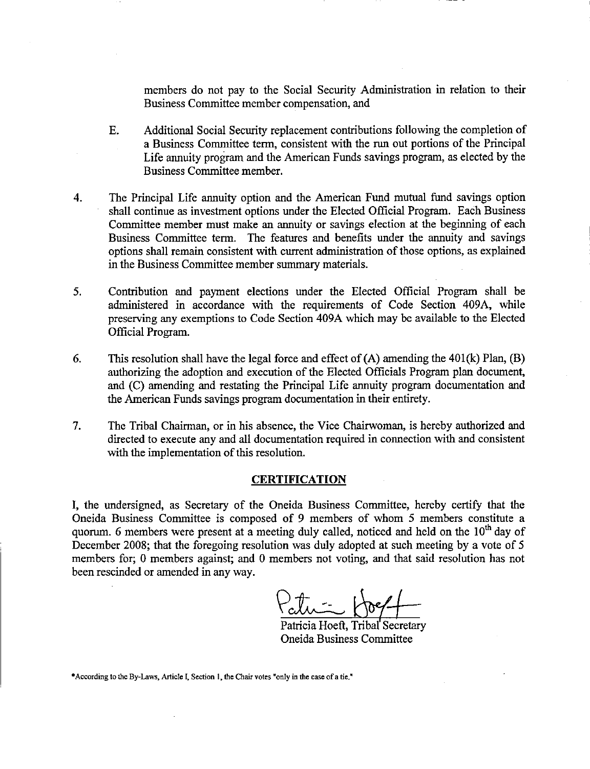members do not pay to the Social Security Administration in relation to their Business Committee member compensation, and

- E. Additional Social Security replacement contributions following the completion of a Business Committee term, consistent with the run out portions of the Principal Life annuity program and the American Funds savings program, as elected by the Business Committee member.
- 4. The Principal Life annuity option and the American Fund mutual fund savings option shall continue as investment options under the Elected Official Program. Each Business Committee member must make an annuity or savings election at the beginning of each Business Committee term. The features and benefits under the annuity and savings options shall remain consistent with current administration ofthose options, as explained in the Business Committee member summary materials.
- 5. Contribution and payment elections under the Elected Official Program shall be administered in accordance with the requirements of Code Section 409A, while preserving any exemptions to Code Section 409A which may be available to the Elected Official Program.
- 6. This resolution shall have the legal force and effect of  $(A)$  amending the 401 $(k)$  Plan,  $(B)$ authorizing the adoption and execution of the Elected Officials Program plan document, and (C) amending and restating the Principal Life annuity program documentation and the American Funds savings program documentation in their entirety.
- 7. The Tribal Chairman, or in his absence, the Vice Chairwoman, is hereby authorized and directed to execute any and all documentation required in connection with and consistent with the implementation of this resolution.

## **CERTIFICATION**

I, the undersigned, as Secretary of the Oneida Business Committee, hereby certify that the Oneida Business Committee is composed of 9 members of whom 5 members constitute a quorum. 6 members were present at a meeting duly called, noticed and held on the  $10<sup>th</sup>$  day of December 2008; that the foregoing resolution was duly adopted at such meeting by a vote of 5 members for; 0 members against; and 0 members not voting, and that said resolution has not been rescinded or amended in any way.

 $\n  $\sqrt{2\pi} \cdot \sqrt{2\pi}$ \n  $\sqrt{2\pi}$$ 

Patricia Hoeft, Tribal Secretary Oneida Business Committee

**\*According to the By-Laws, Article I, Section I, the Chair votes "only in the case ofa tie."**